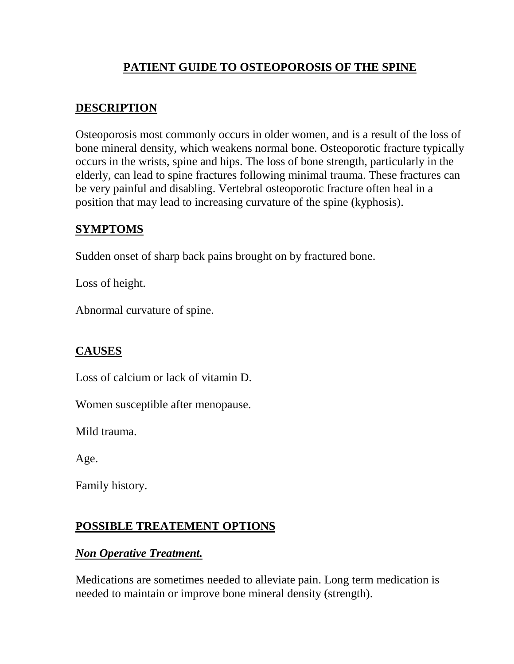# **PATIENT GUIDE TO OSTEOPOROSIS OF THE SPINE**

### **DESCRIPTION**

Osteoporosis most commonly occurs in older women, and is a result of the loss of bone mineral density, which weakens normal bone. Osteoporotic fracture typically occurs in the wrists, spine and hips. The loss of bone strength, particularly in the elderly, can lead to spine fractures following minimal trauma. These fractures can be very painful and disabling. Vertebral osteoporotic fracture often heal in a position that may lead to increasing curvature of the spine (kyphosis).

### **SYMPTOMS**

Sudden onset of sharp back pains brought on by fractured bone.

Loss of height.

Abnormal curvature of spine.

## **CAUSES**

Loss of calcium or lack of vitamin D.

Women susceptible after menopause.

Mild trauma.

Age.

Family history.

### **POSSIBLE TREATEMENT OPTIONS**

### *Non Operative Treatment.*

Medications are sometimes needed to alleviate pain. Long term medication is needed to maintain or improve bone mineral density (strength).